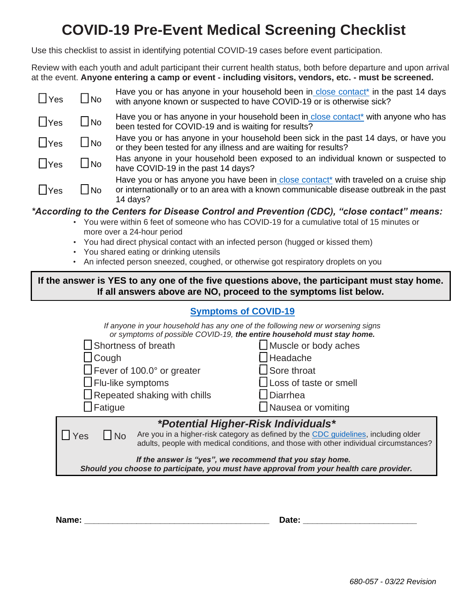# **COVID-19 Pre-Event Medical Screening Checklist**

Use this checklist to assist in identifying potential COVID-19 cases before event participation.

Review with each youth and adult participant their current health status, both before departure and upon arrival at the event. **Anyone entering a camp or event - including visitors, vendors, etc. - must be screened.**

| $\Box$ Yes    | l Ino          | Have you or has anyone in your household been in close contact <sup>*</sup> in the past 14 days<br>with anyone known or suspected to have COVID-19 or is otherwise sick?                                 |
|---------------|----------------|----------------------------------------------------------------------------------------------------------------------------------------------------------------------------------------------------------|
| $\Box$ Yes    | $\Box$ No      | Have you or has anyone in your household been in close contact* with anyone who has<br>been tested for COVID-19 and is waiting for results?                                                              |
| $\Box$ Yes    | $\Box$ No      | Have you or has anyone in your household been sick in the past 14 days, or have you<br>or they been tested for any illness and are waiting for results?                                                  |
| $\bigcap$ Yes | $\square$ No   | Has anyone in your household been exposed to an individual known or suspected to<br>have COVID-19 in the past 14 days?                                                                                   |
| $\Box$ Yes    | $\bigsqcup$ No | Have you or has anyone you have been in close contact <sup>*</sup> with traveled on a cruise ship<br>or internationally or to an area with a known communicable disease outbreak in the past<br>14 days? |

## *\*According to the Centers for Disease Control and Prevention (CDC), "close contact" means:*

- You were within 6 feet of someone who has COVID-19 for a cumulative total of 15 minutes or more over a 24-hour period
- You had direct physical contact with an infected person (hugged or kissed them)
- You shared eating or drinking utensils
- An infected person sneezed, coughed, or otherwise got respiratory droplets on you

### **If the answer is YES to any one of the five questions above, the participant must stay home. If all answers above are NO, proceed to the symptoms list below.**

## **[Symptoms of COVID-19](https://www.cdc.gov/coronavirus/2019-ncov/symptoms-testing/symptoms.html)**

*If anyone in your household has any one of the following new or worsening signs or symptoms of possible COVID-19, the entire household must stay home.*

| $\Box$ Shortness of breath                                                                                                                           | Muscle or body aches                                                                                                                                                          |  |  |  |
|------------------------------------------------------------------------------------------------------------------------------------------------------|-------------------------------------------------------------------------------------------------------------------------------------------------------------------------------|--|--|--|
| $\Box$ Cough                                                                                                                                         | Headache                                                                                                                                                                      |  |  |  |
| $\Box$ Fever of 100.0° or greater                                                                                                                    | $\Box$ Sore throat                                                                                                                                                            |  |  |  |
| $\Box$ Flu-like symptoms                                                                                                                             | $\Box$ Loss of taste or smell                                                                                                                                                 |  |  |  |
| $\Box$ Repeated shaking with chills                                                                                                                  | $\Box$ Diarrhea                                                                                                                                                               |  |  |  |
| $\Box$ Fatigue                                                                                                                                       | □ Nausea or vomiting                                                                                                                                                          |  |  |  |
|                                                                                                                                                      | <i>*Potential Higher-Risk Individuals*</i>                                                                                                                                    |  |  |  |
| Yes<br>$\Box$ No                                                                                                                                     | Are you in a higher-risk category as defined by the CDC guidelines, including older<br>adults, people with medical conditions, and those with other individual circumstances? |  |  |  |
| If the answer is "yes", we recommend that you stay home.<br>Should you choose to participate, you must have approval from your health care provider. |                                                                                                                                                                               |  |  |  |

**Name: \_\_\_\_\_\_\_\_\_\_\_\_\_\_\_\_\_\_\_\_\_\_\_\_\_\_\_\_\_\_\_\_\_\_\_\_\_\_\_ Date: \_\_\_\_\_\_\_\_\_\_\_\_\_\_\_\_\_\_\_\_\_\_\_\_**